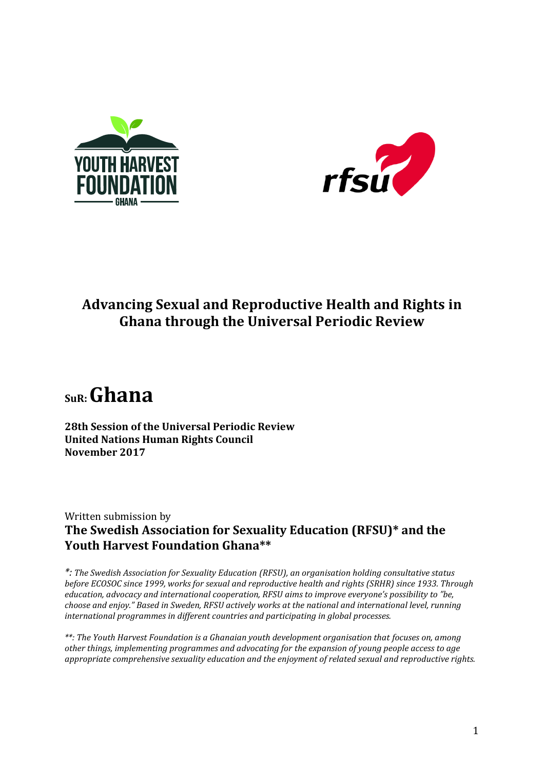



## **Advancing Sexual and Reproductive Health and Rights in Ghana through the Universal Periodic Review**

# **SuR: Ghana**

**28th Session of the Universal Periodic Review United Nations Human Rights Council November 2017** 

### Written submission by **The Swedish Association for Sexuality Education (RFSU)\* and the Youth Harvest Foundation Ghana\*\***

*\*: The Swedish Association for Sexuality Education (RFSU), an organisation holding consultative status before ECOSOC since 1999, works for sexual and reproductive health and rights (SRHR) since 1933. Through education, advocacy and international cooperation, RFSU aims to improve everyone's possibility to "be, choose and enjoy." Based in Sweden, RFSU actively works at the national and international level, running international programmes in different countries and participating in global processes.*

*\*\*: The Youth Harvest Foundation is a Ghanaian youth development organisation that focuses on, among other things, implementing programmes and advocating for the expansion of young people access to age appropriate comprehensive sexuality education and the enjoyment of related sexual and reproductive rights.*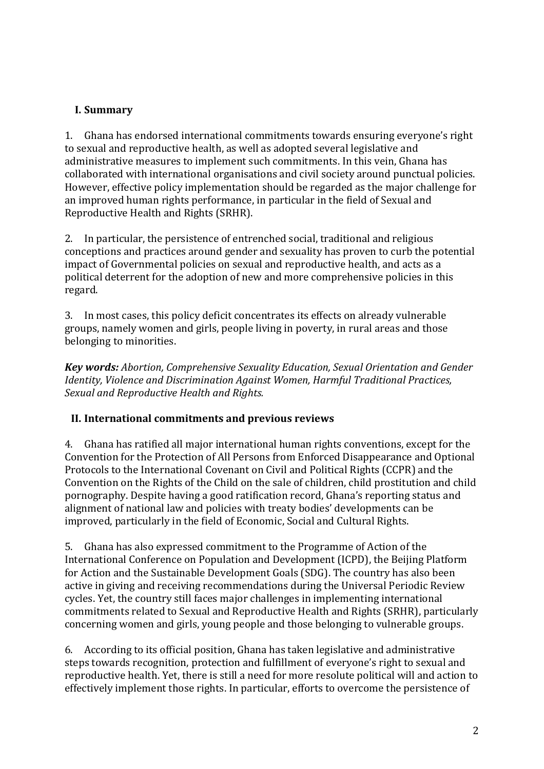#### **I. Summary**

1. Ghana has endorsed international commitments towards ensuring everyone's right to sexual and reproductive health, as well as adopted several legislative and administrative measures to implement such commitments. In this vein, Ghana has collaborated with international organisations and civil society around punctual policies. However, effective policy implementation should be regarded as the major challenge for an improved human rights performance, in particular in the field of Sexual and Reproductive Health and Rights (SRHR).

2. In particular, the persistence of entrenched social, traditional and religious conceptions and practices around gender and sexuality has proven to curb the potential impact of Governmental policies on sexual and reproductive health, and acts as a political deterrent for the adoption of new and more comprehensive policies in this regard.

3. In most cases, this policy deficit concentrates its effects on already vulnerable groups, namely women and girls, people living in poverty, in rural areas and those belonging to minorities.

*Key words: Abortion, Comprehensive Sexuality Education, Sexual Orientation and Gender Identity, Violence and Discrimination Against Women, Harmful Traditional Practices, Sexual and Reproductive Health and Rights.*

#### **II. International commitments and previous reviews**

4. Ghana has ratified all major international human rights conventions, except for the Convention for the Protection of All Persons from Enforced Disappearance and Optional Protocols to the International Covenant on Civil and Political Rights (CCPR) and the Convention on the Rights of the Child on the sale of children, child prostitution and child pornography. Despite having a good ratification record, Ghana's reporting status and alignment of national law and policies with treaty bodies' developments can be improved, particularly in the field of Economic, Social and Cultural Rights.

5. Ghana has also expressed commitment to the Programme of Action of the International Conference on Population and Development (ICPD), the Beijing Platform for Action and the Sustainable Development Goals (SDG). The country has also been active in giving and receiving recommendations during the Universal Periodic Review cycles. Yet, the country still faces major challenges in implementing international commitments related to Sexual and Reproductive Health and Rights (SRHR), particularly concerning women and girls, young people and those belonging to vulnerable groups.

6. According to its official position, Ghana has taken legislative and administrative steps towards recognition, protection and fulfillment of everyone's right to sexual and reproductive health. Yet, there is still a need for more resolute political will and action to effectively implement those rights. In particular, efforts to overcome the persistence of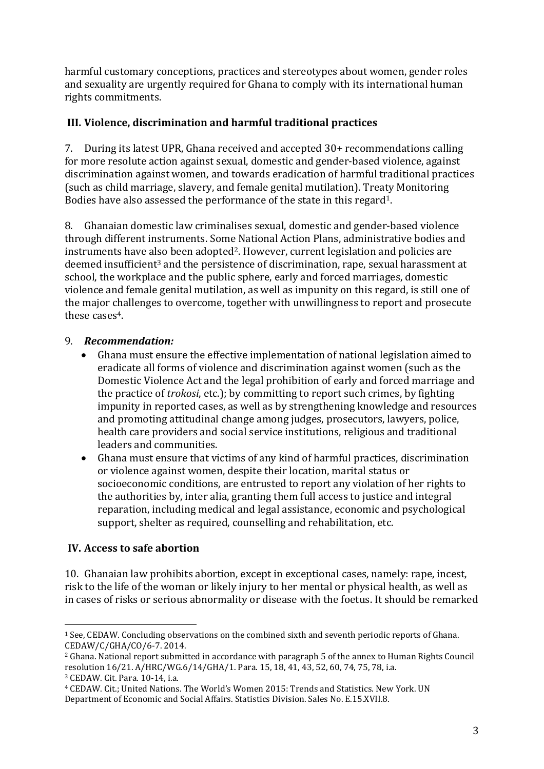harmful customary conceptions, practices and stereotypes about women, gender roles and sexuality are urgently required for Ghana to comply with its international human rights commitments.

#### **III. Violence, discrimination and harmful traditional practices**

7. During its latest UPR, Ghana received and accepted 30+ recommendations calling for more resolute action against sexual, domestic and gender-based violence, against discrimination against women, and towards eradication of harmful traditional practices (such as child marriage, slavery, and female genital mutilation). Treaty Monitoring Bodies have also assessed the performance of the state in this regard1.

8. Ghanaian domestic law criminalises sexual, domestic and gender-based violence through different instruments. Some National Action Plans, administrative bodies and instruments have also been adopted<sup>2</sup>. However, current legislation and policies are deemed insufficient<sup>3</sup> and the persistence of discrimination, rape, sexual harassment at school, the workplace and the public sphere, early and forced marriages, domestic violence and female genital mutilation, as well as impunity on this regard, is still one of the major challenges to overcome, together with unwillingness to report and prosecute these cases<sup>4</sup>.

#### 9. *Recommendation:*

- Ghana must ensure the effective implementation of national legislation aimed to eradicate all forms of violence and discrimination against women (such as the Domestic Violence Act and the legal prohibition of early and forced marriage and the practice of *trokosi*, etc.); by committing to report such crimes, by fighting impunity in reported cases, as well as by strengthening knowledge and resources and promoting attitudinal change among judges, prosecutors, lawyers, police, health care providers and social service institutions, religious and traditional leaders and communities.
- Ghana must ensure that victims of any kind of harmful practices, discrimination or violence against women, despite their location, marital status or socioeconomic conditions, are entrusted to report any violation of her rights to the authorities by, inter alia, granting them full access to justice and integral reparation, including medical and legal assistance, economic and psychological support, shelter as required, counselling and rehabilitation, etc.

#### **IV. Access to safe abortion**

10. Ghanaian law prohibits abortion, except in exceptional cases, namely: rape, incest, risk to the life of the woman or likely injury to her mental or physical health, as well as in cases of risks or serious abnormality or disease with the foetus. It should be remarked

 $\overline{a}$ <sup>1</sup> See, CEDAW. Concluding observations on the combined sixth and seventh periodic reports of Ghana. CEDAW/C/GHA/CO/6-7. 2014.

<sup>2</sup> Ghana. National report submitted in accordance with paragraph 5 of the annex to Human Rights Council resolution 16/21. A/HRC/WG.6/14/GHA/1. Para. 15, 18, 41, 43, 52, 60, 74, 75, 78, i.a. <sup>3</sup> CEDAW. Cit. Para. 10-14, i.a.

<sup>4</sup> CEDAW. Cit.; United Nations. The World's Women 2015: Trends and Statistics. New York. UN Department of Economic and Social Affairs. Statistics Division. Sales No. E.15.XVII.8.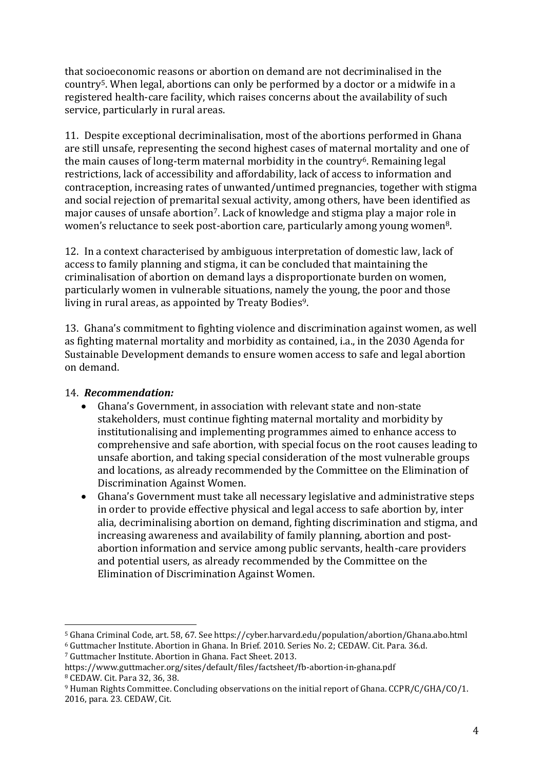that socioeconomic reasons or abortion on demand are not decriminalised in the country5. When legal, abortions can only be performed by a doctor or a midwife in a registered health-care facility, which raises concerns about the availability of such service, particularly in rural areas.

11. Despite exceptional decriminalisation, most of the abortions performed in Ghana are still unsafe, representing the second highest cases of maternal mortality and one of the main causes of long-term maternal morbidity in the country<sup>6</sup>. Remaining legal restrictions, lack of accessibility and affordability, lack of access to information and contraception, increasing rates of unwanted/untimed pregnancies, together with stigma and social rejection of premarital sexual activity, among others, have been identified as major causes of unsafe abortion<sup>7</sup>. Lack of knowledge and stigma play a major role in women's reluctance to seek post-abortion care, particularly among young women8.

12. In a context characterised by ambiguous interpretation of domestic law, lack of access to family planning and stigma, it can be concluded that maintaining the criminalisation of abortion on demand lays a disproportionate burden on women, particularly women in vulnerable situations, namely the young, the poor and those living in rural areas, as appointed by Treaty Bodies<sup>9</sup>.

13. Ghana's commitment to fighting violence and discrimination against women, as well as fighting maternal mortality and morbidity as contained, i.a., in the 2030 Agenda for Sustainable Development demands to ensure women access to safe and legal abortion on demand.

#### 14. *Recommendation:*

 $\overline{a}$ 

- Ghana's Government, in association with relevant state and non-state stakeholders, must continue fighting maternal mortality and morbidity by institutionalising and implementing programmes aimed to enhance access to comprehensive and safe abortion, with special focus on the root causes leading to unsafe abortion, and taking special consideration of the most vulnerable groups and locations, as already recommended by the Committee on the Elimination of Discrimination Against Women.
- Ghana's Government must take all necessary legislative and administrative steps in order to provide effective physical and legal access to safe abortion by, inter alia, decriminalising abortion on demand, fighting discrimination and stigma, and increasing awareness and availability of family planning, abortion and postabortion information and service among public servants, health-care providers and potential users, as already recommended by the Committee on the Elimination of Discrimination Against Women.

<sup>5</sup> Ghana Criminal Code, art. 58, 67. See https://cyber.harvard.edu/population/abortion/Ghana.abo.html

<sup>6</sup> Guttmacher Institute. Abortion in Ghana. In Brief. 2010. Series No. 2; CEDAW. Cit. Para. 36.d.

<sup>7</sup> Guttmacher Institute. Abortion in Ghana. Fact Sheet. 2013.

https://www.guttmacher.org/sites/default/files/factsheet/fb-abortion-in-ghana.pdf <sup>8</sup> CEDAW. Cit. Para 32, 36, 38.

<sup>9</sup> Human Rights Committee. Concluding observations on the initial report of Ghana. CCPR/C/GHA/CO/1. 2016, para. 23. CEDAW, Cit.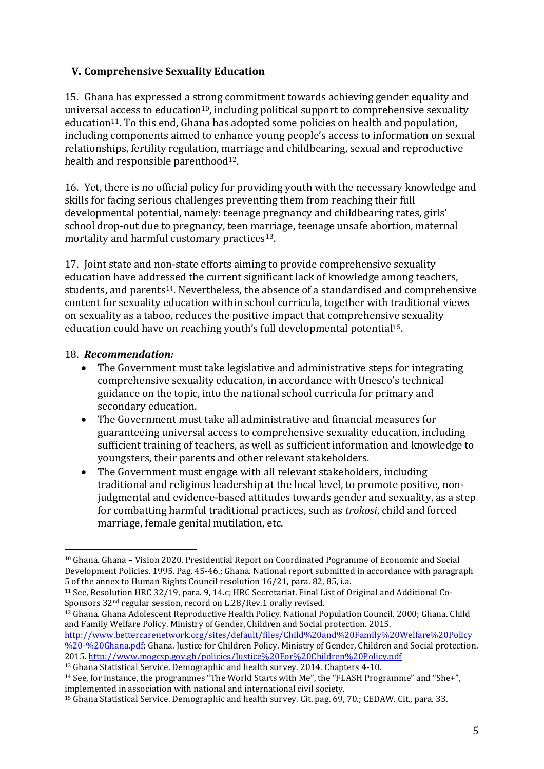#### **V. Comprehensive Sexuality Education**

15. Ghana has expressed a strong commitment towards achieving gender equality and universal access to education<sup>10</sup>, including political support to comprehensive sexuality education<sup>11</sup>. To this end, Ghana has adopted some policies on health and population, including components aimed to enhance young people's access to information on sexual relationships, fertility regulation, marriage and childbearing, sexual and reproductive health and responsible parenthood<sup>12</sup>.

16. Yet, there is no official policy for providing youth with the necessary knowledge and skills for facing serious challenges preventing them from reaching their full developmental potential, namely: teenage pregnancy and childbearing rates, girls' school drop-out due to pregnancy, teen marriage, teenage unsafe abortion, maternal mortality and harmful customary practices<sup>13</sup>.

17. Joint state and non-state efforts aiming to provide comprehensive sexuality education have addressed the current significant lack of knowledge among teachers, students, and parents14. Nevertheless, the absence of a standardised and comprehensive content for sexuality education within school curricula, together with traditional views on sexuality as a taboo, reduces the positive impact that comprehensive sexuality education could have on reaching youth's full developmental potential<sup>15</sup>.

#### 18. *Recommendation:*

- The Government must take legislative and administrative steps for integrating comprehensive sexuality education, in accordance with Unesco's technical guidance on the topic, into the national school curricula for primary and secondary education.
- The Government must take all administrative and financial measures for guaranteeing universal access to comprehensive sexuality education, including sufficient training of teachers, as well as sufficient information and knowledge to youngsters, their parents and other relevant stakeholders.
- The Government must engage with all relevant stakeholders, including traditional and religious leadership at the local level, to promote positive, nonjudgmental and evidence-based attitudes towards gender and sexuality, as a step for combatting harmful traditional practices, such as *trokosi*, child and forced marriage, female genital mutilation, etc.

<sup>12</sup> Ghana. Ghana Adolescent Reproductive Health Policy. National Population Council. 2000; Ghana. Child and Family Welfare Policy. Ministry of Gender, Children and Social protection. 2015.

[http://www.bettercarenetwork.org/sites/default/files/Child%20and%20Family%20Welfare%20Policy](http://www.bettercarenetwork.org/sites/default/files/Child%20and%20Family%20Welfare%20Policy%20-%20Ghana.pdf) [%20-%20Ghana.pdf;](http://www.bettercarenetwork.org/sites/default/files/Child%20and%20Family%20Welfare%20Policy%20-%20Ghana.pdf) Ghana. Justice for Children Policy. Ministry of Gender, Children and Social protection. 2015.<http://www.mogcsp.gov.gh/policies/Justice%20For%20Children%20Policy.pdf>

<sup>13</sup> Ghana Statistical Service. Demographic and health survey. 2014. Chapters 4-10.

 $\overline{a}$ <sup>10</sup> Ghana. Ghana – Vision 2020. Presidential Report on Coordinated Pogramme of Economic and Social Development Policies. 1995. Pag. 45-46.; Ghana. National report submitted in accordance with paragraph 5 of the annex to Human Rights Council resolution 16/21, para. 82, 85, i.a.

<sup>11</sup> See, Resolution HRC 32/19, para. 9, 14.c; HRC Secretariat. Final List of Original and Additional Co-Sponsors 32<sup>nd</sup> regular session, record on L.28/Rev.1 orally revised.

<sup>&</sup>lt;sup>14</sup> See, for instance, the programmes "The World Starts with Me", the "FLASH Programme" and "She+", implemented in association with national and international civil society.

<sup>15</sup> Ghana Statistical Service. Demographic and health survey. Cit. pag. 69, 70.; CEDAW. Cit., para. 33.